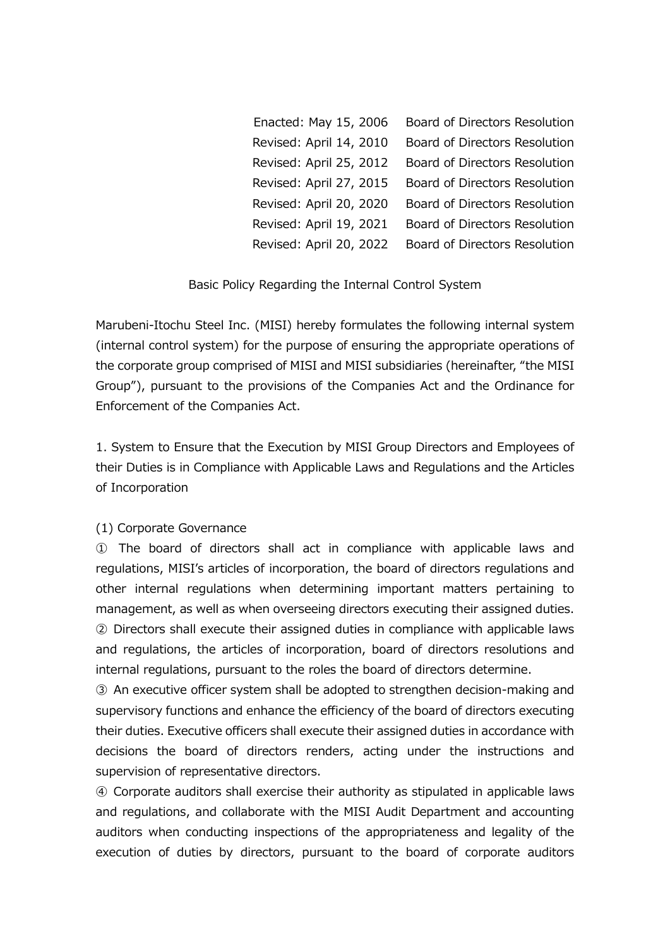| Enacted: May 15, 2006   | Board of Directors Resolution |
|-------------------------|-------------------------------|
| Revised: April 14, 2010 | Board of Directors Resolution |
| Revised: April 25, 2012 | Board of Directors Resolution |
| Revised: April 27, 2015 | Board of Directors Resolution |
| Revised: April 20, 2020 | Board of Directors Resolution |
| Revised: April 19, 2021 | Board of Directors Resolution |
| Revised: April 20, 2022 | Board of Directors Resolution |

#### Basic Policy Regarding the Internal Control System

Marubeni-Itochu Steel Inc. (MISI) hereby formulates the following internal system (internal control system) for the purpose of ensuring the appropriate operations of the corporate group comprised of MISI and MISI subsidiaries (hereinafter, "the MISI Group"), pursuant to the provisions of the Companies Act and the Ordinance for Enforcement of the Companies Act.

1. System to Ensure that the Execution by MISI Group Directors and Employees of their Duties is in Compliance with Applicable Laws and Regulations and the Articles of Incorporation

### (1) Corporate Governance

① The board of directors shall act in compliance with applicable laws and regulations, MISI's articles of incorporation, the board of directors regulations and other internal regulations when determining important matters pertaining to management, as well as when overseeing directors executing their assigned duties. ② Directors shall execute their assigned duties in compliance with applicable laws and regulations, the articles of incorporation, board of directors resolutions and internal regulations, pursuant to the roles the board of directors determine.

③ An executive officer system shall be adopted to strengthen decision-making and supervisory functions and enhance the efficiency of the board of directors executing their duties. Executive officers shall execute their assigned duties in accordance with decisions the board of directors renders, acting under the instructions and supervision of representative directors.

④ Corporate auditors shall exercise their authority as stipulated in applicable laws and regulations, and collaborate with the MISI Audit Department and accounting auditors when conducting inspections of the appropriateness and legality of the execution of duties by directors, pursuant to the board of corporate auditors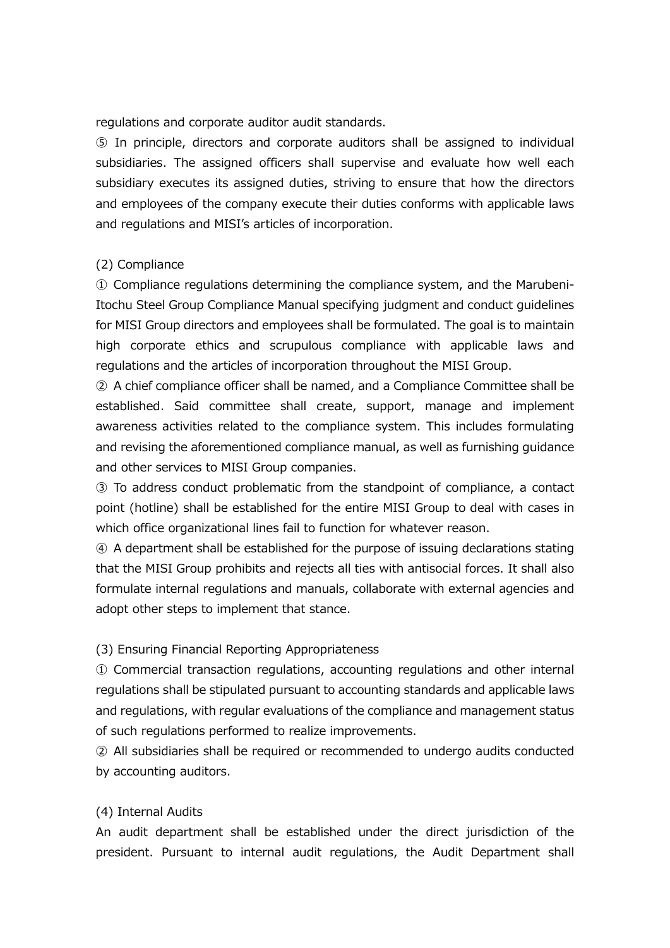regulations and corporate auditor audit standards.

⑤ In principle, directors and corporate auditors shall be assigned to individual subsidiaries. The assigned officers shall supervise and evaluate how well each subsidiary executes its assigned duties, striving to ensure that how the directors and employees of the company execute their duties conforms with applicable laws and regulations and MISI's articles of incorporation.

### (2) Compliance

 $\Omega$  Compliance regulations determining the compliance system, and the Marubeni-Itochu Steel Group Compliance Manual specifying judgment and conduct guidelines for MISI Group directors and employees shall be formulated. The goal is to maintain high corporate ethics and scrupulous compliance with applicable laws and regulations and the articles of incorporation throughout the MISI Group.

② A chief compliance officer shall be named, and a Compliance Committee shall be established. Said committee shall create, support, manage and implement awareness activities related to the compliance system. This includes formulating and revising the aforementioned compliance manual, as well as furnishing guidance and other services to MISI Group companies.

③ To address conduct problematic from the standpoint of compliance, a contact point (hotline) shall be established for the entire MISI Group to deal with cases in which office organizational lines fail to function for whatever reason.

④ A department shall be established for the purpose of issuing declarations stating that the MISI Group prohibits and rejects all ties with antisocial forces. It shall also formulate internal regulations and manuals, collaborate with external agencies and adopt other steps to implement that stance.

### (3) Ensuring Financial Reporting Appropriateness

① Commercial transaction regulations, accounting regulations and other internal regulations shall be stipulated pursuant to accounting standards and applicable laws and regulations, with regular evaluations of the compliance and management status of such regulations performed to realize improvements.

② All subsidiaries shall be required or recommended to undergo audits conducted by accounting auditors.

#### (4) Internal Audits

An audit department shall be established under the direct jurisdiction of the president. Pursuant to internal audit regulations, the Audit Department shall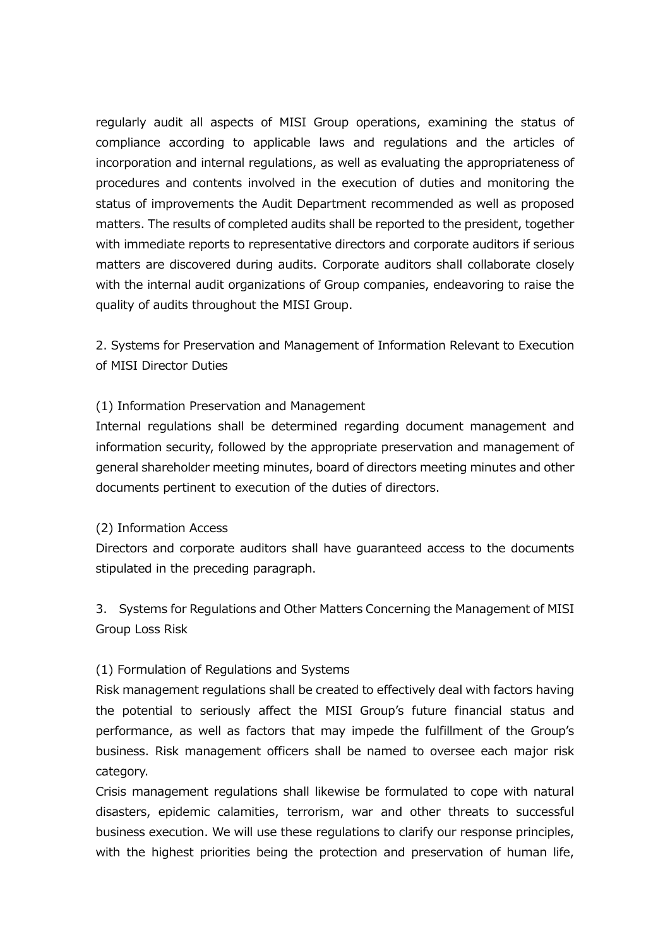regularly audit all aspects of MISI Group operations, examining the status of compliance according to applicable laws and regulations and the articles of incorporation and internal regulations, as well as evaluating the appropriateness of procedures and contents involved in the execution of duties and monitoring the status of improvements the Audit Department recommended as well as proposed matters. The results of completed audits shall be reported to the president, together with immediate reports to representative directors and corporate auditors if serious matters are discovered during audits. Corporate auditors shall collaborate closely with the internal audit organizations of Group companies, endeavoring to raise the quality of audits throughout the MISI Group.

2. Systems for Preservation and Management of Information Relevant to Execution of MISI Director Duties

## (1) Information Preservation and Management

Internal regulations shall be determined regarding document management and information security, followed by the appropriate preservation and management of general shareholder meeting minutes, board of directors meeting minutes and other documents pertinent to execution of the duties of directors.

### (2) Information Access

Directors and corporate auditors shall have guaranteed access to the documents stipulated in the preceding paragraph.

3. Systems for Regulations and Other Matters Concerning the Management of MISI Group Loss Risk

## (1) Formulation of Regulations and Systems

Risk management regulations shall be created to effectively deal with factors having the potential to seriously affect the MISI Group's future financial status and performance, as well as factors that may impede the fulfillment of the Group's business. Risk management officers shall be named to oversee each major risk category.

Crisis management regulations shall likewise be formulated to cope with natural disasters, epidemic calamities, terrorism, war and other threats to successful business execution. We will use these regulations to clarify our response principles, with the highest priorities being the protection and preservation of human life,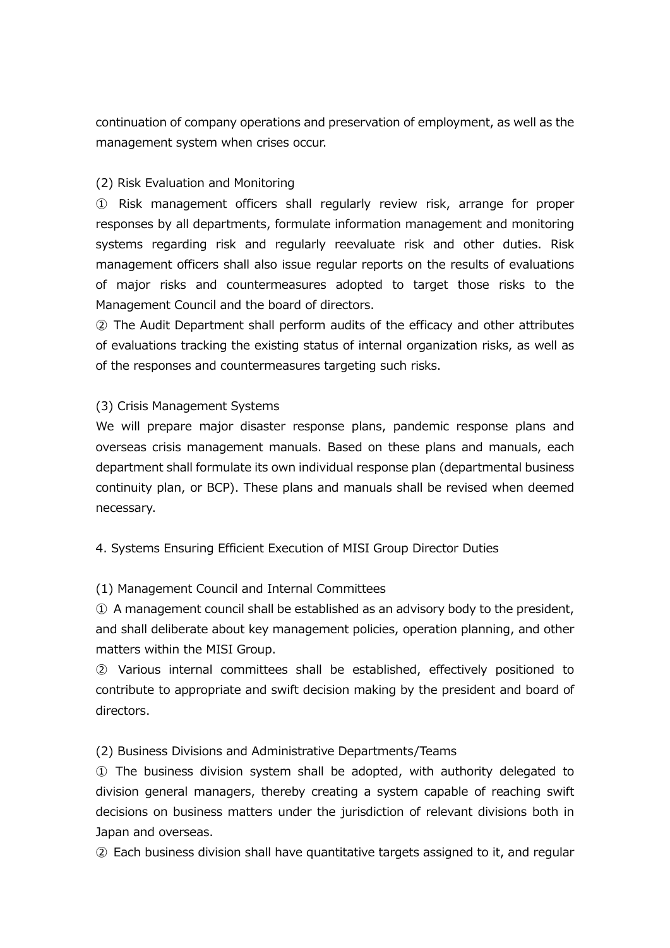continuation of company operations and preservation of employment, as well as the management system when crises occur.

## (2) Risk Evaluation and Monitoring

① Risk management officers shall regularly review risk, arrange for proper responses by all departments, formulate information management and monitoring systems regarding risk and regularly reevaluate risk and other duties. Risk management officers shall also issue regular reports on the results of evaluations of major risks and countermeasures adopted to target those risks to the Management Council and the board of directors.

② The Audit Department shall perform audits of the efficacy and other attributes of evaluations tracking the existing status of internal organization risks, as well as of the responses and countermeasures targeting such risks.

## (3) Crisis Management Systems

We will prepare major disaster response plans, pandemic response plans and overseas crisis management manuals. Based on these plans and manuals, each department shall formulate its own individual response plan (departmental business continuity plan, or BCP). These plans and manuals shall be revised when deemed necessary.

4. Systems Ensuring Efficient Execution of MISI Group Director Duties

(1) Management Council and Internal Committees

① A management council shall be established as an advisory body to the president, and shall deliberate about key management policies, operation planning, and other matters within the MISI Group.

② Various internal committees shall be established, effectively positioned to contribute to appropriate and swift decision making by the president and board of directors.

(2) Business Divisions and Administrative Departments/Teams

① The business division system shall be adopted, with authority delegated to division general managers, thereby creating a system capable of reaching swift decisions on business matters under the jurisdiction of relevant divisions both in Japan and overseas.

② Each business division shall have quantitative targets assigned to it, and regular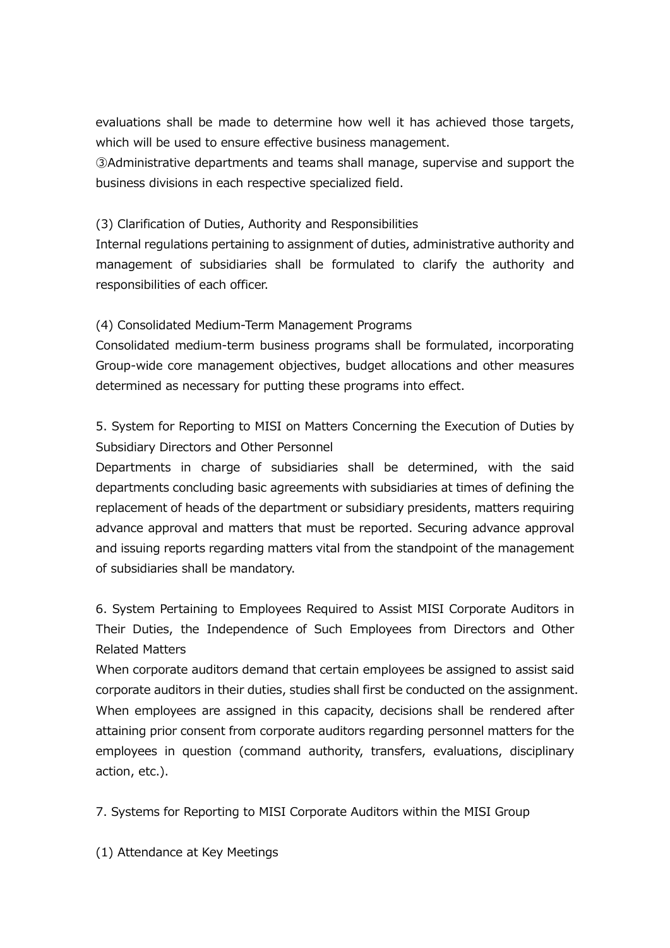evaluations shall be made to determine how well it has achieved those targets, which will be used to ensure effective business management.

③Administrative departments and teams shall manage, supervise and support the business divisions in each respective specialized field.

# (3) Clarification of Duties, Authority and Responsibilities

Internal regulations pertaining to assignment of duties, administrative authority and management of subsidiaries shall be formulated to clarify the authority and responsibilities of each officer.

# (4) Consolidated Medium-Term Management Programs

Consolidated medium-term business programs shall be formulated, incorporating Group-wide core management objectives, budget allocations and other measures determined as necessary for putting these programs into effect.

5. System for Reporting to MISI on Matters Concerning the Execution of Duties by Subsidiary Directors and Other Personnel

Departments in charge of subsidiaries shall be determined, with the said departments concluding basic agreements with subsidiaries at times of defining the replacement of heads of the department or subsidiary presidents, matters requiring advance approval and matters that must be reported. Securing advance approval and issuing reports regarding matters vital from the standpoint of the management of subsidiaries shall be mandatory.

6. System Pertaining to Employees Required to Assist MISI Corporate Auditors in Their Duties, the Independence of Such Employees from Directors and Other Related Matters

When corporate auditors demand that certain employees be assigned to assist said corporate auditors in their duties, studies shall first be conducted on the assignment. When employees are assigned in this capacity, decisions shall be rendered after attaining prior consent from corporate auditors regarding personnel matters for the employees in question (command authority, transfers, evaluations, disciplinary action, etc.).

7. Systems for Reporting to MISI Corporate Auditors within the MISI Group

(1) Attendance at Key Meetings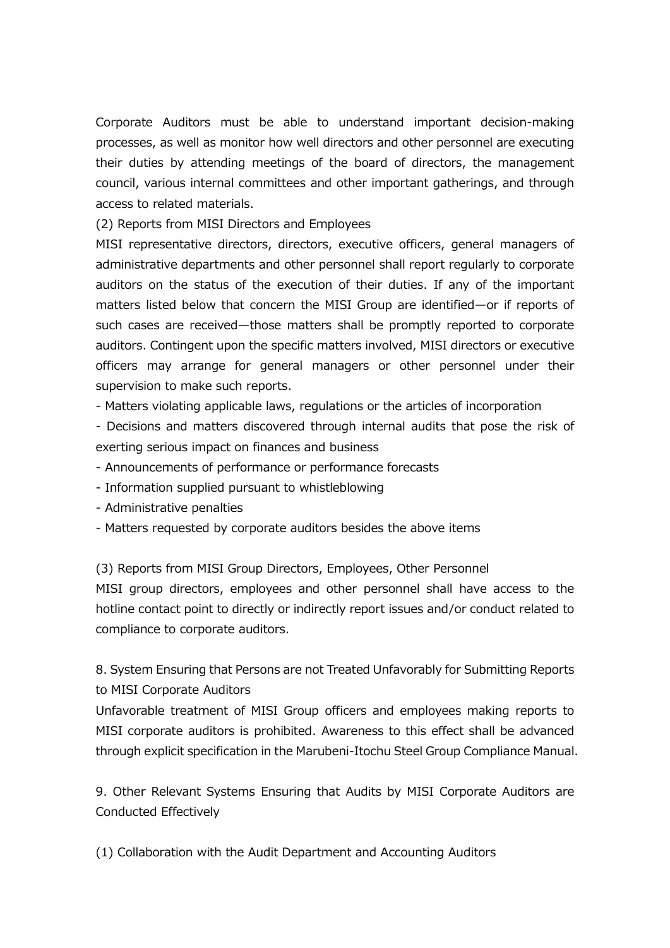Corporate Auditors must be able to understand important decision-making processes, as well as monitor how well directors and other personnel are executing their duties by attending meetings of the board of directors, the management council, various internal committees and other important gatherings, and through access to related materials.

(2) Reports from MISI Directors and Employees

MISI representative directors, directors, executive officers, general managers of administrative departments and other personnel shall report regularly to corporate auditors on the status of the execution of their duties. If any of the important matters listed below that concern the MISI Group are identified—or if reports of such cases are received—those matters shall be promptly reported to corporate auditors. Contingent upon the specific matters involved, MISI directors or executive officers may arrange for general managers or other personnel under their supervision to make such reports.

- Matters violating applicable laws, regulations or the articles of incorporation

- Decisions and matters discovered through internal audits that pose the risk of exerting serious impact on finances and business

- Announcements of performance or performance forecasts

- Information supplied pursuant to whistleblowing
- Administrative penalties
- Matters requested by corporate auditors besides the above items

(3) Reports from MISI Group Directors, Employees, Other Personnel

MISI group directors, employees and other personnel shall have access to the hotline contact point to directly or indirectly report issues and/or conduct related to compliance to corporate auditors.

8. System Ensuring that Persons are not Treated Unfavorably for Submitting Reports to MISI Corporate Auditors

Unfavorable treatment of MISI Group officers and employees making reports to MISI corporate auditors is prohibited. Awareness to this effect shall be advanced through explicit specification in the Marubeni-Itochu Steel Group Compliance Manual.

9. Other Relevant Systems Ensuring that Audits by MISI Corporate Auditors are Conducted Effectively

(1) Collaboration with the Audit Department and Accounting Auditors